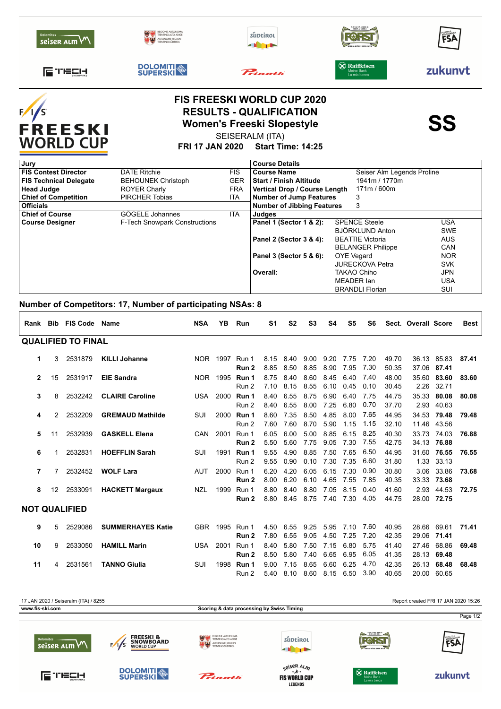| seiser ALM                   | <b>DOLOMITI</b><br>SUPERSKI |         | BIRRA-RITRE-BEER-RITR<br>X Raiffeisen | zukunvt |
|------------------------------|-----------------------------|---------|---------------------------------------|---------|
| 后 119214<br><b>SNOWPARKS</b> |                             | Pringth | Meine Bank<br>La mia banca            |         |



### **FIS FREESKI WORLD CUP 2020 RESULTS - QUALIFICATION<br>Women's Freeski Slopestyle<br>SEISERALM (ITA)** SEISERALM (ITA)

**FRI 17 JAN 2020 Start Time: 14:25**

| Jury                          |                                      |            | <b>Course Details</b>             |  |                            |            |  |  |
|-------------------------------|--------------------------------------|------------|-----------------------------------|--|----------------------------|------------|--|--|
| <b>FIS Contest Director</b>   | <b>DATE Ritchie</b>                  | FIS.       | <b>Course Name</b>                |  | Seiser Alm Legends Proline |            |  |  |
| <b>FIS Technical Delegate</b> | <b>BEHOUNEK Christoph</b>            | <b>GER</b> | <b>Start / Finish Altitude</b>    |  | 1941m / 1770m              |            |  |  |
| <b>Head Judge</b>             | <b>ROYER Charly</b>                  | <b>FRA</b> | Vertical Drop / Course Length     |  | 171m / 600m                |            |  |  |
| <b>Chief of Competition</b>   | <b>PIRCHER Tobias</b>                | ITA        | <b>Number of Jump Features</b>    |  | 3                          |            |  |  |
| <b>Officials</b>              |                                      |            | <b>Number of Jibbing Features</b> |  | 3                          |            |  |  |
| <b>Chief of Course</b>        | GÖGELE Johannes                      | <b>ITA</b> | Judges                            |  |                            |            |  |  |
| <b>Course Designer</b>        | <b>F-Tech Snowpark Constructions</b> |            | Panel 1 (Sector 1 & 2):           |  | <b>SPENCE Steele</b>       | <b>USA</b> |  |  |
|                               |                                      |            |                                   |  | BJÖRKLUND Anton            | <b>SWE</b> |  |  |
|                               |                                      |            | Panel 2 (Sector 3 & 4):           |  | <b>BEATTIE Victoria</b>    | <b>AUS</b> |  |  |
|                               |                                      |            |                                   |  | <b>BELANGER Philippe</b>   | <b>CAN</b> |  |  |
|                               |                                      |            | Panel 3 (Sector 5 & 6):           |  | <b>OYE</b> Vegard          | <b>NOR</b> |  |  |
|                               |                                      |            |                                   |  | <b>JURECKOVA Petra</b>     | <b>SVK</b> |  |  |
|                               |                                      |            | Overall:                          |  | TAKAO Chiho                | <b>JPN</b> |  |  |
|                               |                                      |            |                                   |  | MEADER Ian                 | <b>USA</b> |  |  |
|                               |                                      |            |                                   |  | <b>BRANDLI Florian</b>     | <b>SUI</b> |  |  |

#### **Number of Competitors: 17, Number of participating NSAs: 8**

|                           |                 | Rank Bib FIS Code    | <b>Name</b>              | <b>NSA</b> | ΥB       | Run                     | S1           | S <sub>2</sub> | S3           | S <sub>4</sub> | S5           | S6           |                | Sect. Overall Score |                            | <b>Best</b> |
|---------------------------|-----------------|----------------------|--------------------------|------------|----------|-------------------------|--------------|----------------|--------------|----------------|--------------|--------------|----------------|---------------------|----------------------------|-------------|
| <b>QUALIFIED TO FINAL</b> |                 |                      |                          |            |          |                         |              |                |              |                |              |              |                |                     |                            |             |
| 1                         | 3               | 2531879              | <b>KILLI Johanne</b>     |            | NOR 1997 | Run 1<br>Run 2          | 8.15<br>8.85 | 8.40<br>8.50   | 9.00<br>8.85 | 9.20<br>8.90   | 7.75<br>7.95 | 7.20<br>7.30 | 49.70<br>50.35 |                     | 36.13 85.83<br>37.06 87.41 | 87.41       |
| $\mathbf{2}$              | 15              | 2531917              | <b>EIE Sandra</b>        |            | NOR 1995 | Run 1<br>Run 2          | 8.75<br>7.10 | 8.40<br>8.15   | 8.60<br>8.55 | 8.45<br>6.10   | 6.40<br>0.45 | 7.40<br>0.10 | 48.00<br>30.45 | 35.60               | 83.60<br>2.26 32.71        | 83.60       |
| 3                         | 8               | 2532242              | <b>CLAIRE Caroline</b>   | <b>USA</b> | 2000     | Run 1<br>Run 2          | 8.40<br>8.40 | 6.55<br>6.55   | 8.75<br>8.00 | 6.90<br>7.25   | 6.40<br>6.80 | 7.75<br>0.70 | 44.75<br>37.70 | 35.33               | 80.08<br>2.93 40.63        | 80.08       |
| 4                         | 2               | 2532209              | <b>GREMAUD Mathilde</b>  | SUI        | 2000     | Run 1<br>Run 2          | 8.60<br>7.60 | 7.35<br>7.60   | 8.50<br>8.70 | 4.85<br>5.90   | 8.00<br>1.15 | 7.65<br>1.15 | 44.95<br>32.10 | 34.53               | 79.48<br>11.46 43.56       | 79.48       |
| 5                         | 11              | 2532939              | <b>GASKELL Elena</b>     | <b>CAN</b> | 2001     | Run 1<br>Run 2          | 6.05<br>5.50 | 6.00<br>5.60   | 5.00<br>7.75 | 8.85<br>9.05   | 6.15<br>7.30 | 8.25<br>7.55 | 40.30<br>42.75 |                     | 33.73 74.03<br>34.13 76.88 | 76.88       |
| 6                         | 1               | 2532831              | <b>HOEFFLIN Sarah</b>    | SUI        | 1991     | Run 1<br>Run 2          | 9.55<br>9.55 | 4.90<br>0.90   | 8.85<br>0.10 | 7.50<br>7.30   | 7.65<br>7.35 | 6.50<br>6.60 | 44.95<br>31.80 |                     | 31.60 76.55<br>1.33 33.13  | 76.55       |
| 7                         | 7               | 2532452              | <b>WOLF Lara</b>         | <b>AUT</b> | 2000     | Run 1<br>Run 2          | 6.20<br>8.00 | 4.20<br>6.20   | 6.05<br>6.10 | 6.15<br>4.65   | 7 30<br>7.55 | 0.90<br>7.85 | 30.80<br>40.35 | 3.06                | 33.86<br>33.33 73.68       | 73.68       |
| 8                         | 12 <sup>°</sup> | 2533091              | <b>HACKETT Margaux</b>   | <b>NZL</b> | 1999     | Run 1<br>Run 2          | 8.80<br>8.80 | 8.40<br>8.45   | 8.80<br>8.75 | 7.05<br>7.40   | 8.15<br>7.30 | 0.40<br>4.05 | 41.60<br>44.75 | 2.93                | 44.53<br>28.00 72.75       | 72.75       |
|                           |                 | <b>NOT QUALIFIED</b> |                          |            |          |                         |              |                |              |                |              |              |                |                     |                            |             |
| 9                         | 5               | 2529086              | <b>SUMMERHAYES Katie</b> |            |          | GBR 1995 Run 1<br>Run 2 | 4.50<br>7.80 | 6.55<br>6.55   | 9.25<br>9.05 | 5.95<br>4.50   | 7.10<br>7.25 | 7.60<br>7.20 | 40.95<br>42.35 |                     | 28.66 69.61<br>29.06 71.41 | 71.41       |
| 10                        | 9               | 2533050              | <b>HAMILL Marin</b>      | <b>USA</b> | 2001     | Run 1<br>Run 2          | 8.40<br>8.50 | 5.80<br>5.80   | 7.50<br>7.40 | 7.15<br>6.65   | 6.80<br>6.95 | 5.75<br>6.05 | 41.40<br>41.35 | 27.46               | 68.86<br>28.13 69.48       | 69.48       |
| 11                        | 4               | 2531561              | <b>TANNO Giulia</b>      | SUI        | 1998     | Run 1<br>Run 2          | 9.00<br>5.40 | 7.15<br>8.10   | 8.65<br>8.60 | 6.60<br>8.15   | 6.25<br>6.50 | 4.70<br>3.90 | 42.35<br>40.65 | 26.13               | 68.48<br>20.00 60.65       | 68.48       |



**LEGENDS**